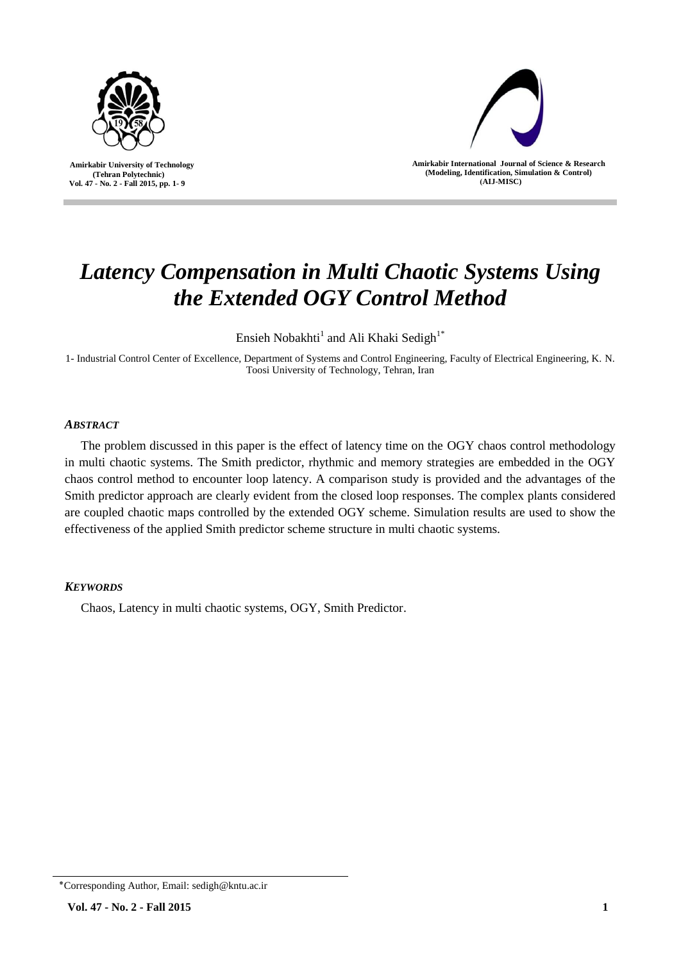

 **Amirkabir University of Technology (Tehran Polytechnic) Vol. 47 - No. 2 - Fall 2015, pp. 1- 9**



**Amirkabir International Journal of Science & Research (Modeling, Identification, Simulation & Control) )AIJ-MISC)**

# *Latency Compensation in Multi Chaotic Systems Using the Extended OGY Control Method*

Ensieh Nobakhti $^1$  and Ali Khaki Sedigh $^{1*}$ 

1- Industrial Control Center of Excellence, Department of Systems and Control Engineering, Faculty of Electrical Engineering, K. N. Toosi University of Technology, Tehran, Iran

# *ABSTRACT*

The problem discussed in this paper is the effect of latency time on the OGY chaos control methodology in multi chaotic systems. The Smith predictor, rhythmic and memory strategies are embedded in the OGY chaos control method to encounter loop latency. A comparison study is provided and the advantages of the Smith predictor approach are clearly evident from the closed loop responses. The complex plants considered are coupled chaotic maps controlled by the extended OGY scheme. Simulation results are used to show the effectiveness of the applied Smith predictor scheme structure in multi chaotic systems.

# *KEYWORDS*

Chaos, Latency in multi chaotic systems, OGY, Smith Predictor.

<sup>٭</sup>Corresponding Author, Email: sedigh@kntu.ac.ir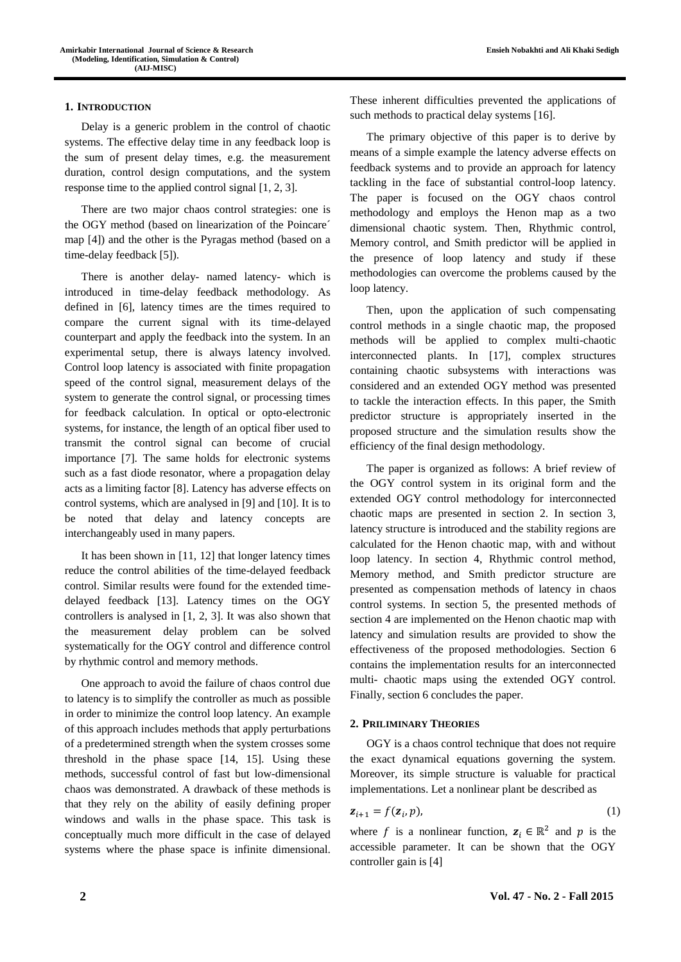**Ensieh Nobakhti and Ali Khaki Sedigh**

#### **1. INTRODUCTION**

Delay is a generic problem in the control of chaotic systems. The effective delay time in any feedback loop is the sum of present delay times, e.g. the measurement duration, control design computations, and the system response time to the applied control signal [1, 2, 3].

There are two major chaos control strategies: one is the OGY method (based on linearization of the Poincare´ map [4]) and the other is the Pyragas method (based on a time-delay feedback [5]).

There is another delay- named latency- which is introduced in time-delay feedback methodology. As defined in [6], latency times are the times required to compare the current signal with its time-delayed counterpart and apply the feedback into the system. In an experimental setup, there is always latency involved. Control loop latency is associated with finite propagation speed of the control signal, measurement delays of the system to generate the control signal, or processing times for feedback calculation. In optical or opto-electronic systems, for instance, the length of an optical fiber used to transmit the control signal can become of crucial importance [7]. The same holds for electronic systems such as a fast diode resonator, where a propagation delay acts as a limiting factor [8]. Latency has adverse effects on control systems, which are analysed in [9] and [10]. It is to be noted that delay and latency concepts are interchangeably used in many papers.

It has been shown in [11, 12] that longer latency times reduce the control abilities of the time-delayed feedback control. Similar results were found for the extended timedelayed feedback [13]. Latency times on the OGY controllers is analysed in [1, 2, 3]. It was also shown that the measurement delay problem can be solved systematically for the OGY control and difference control by rhythmic control and memory methods.

One approach to avoid the failure of chaos control due to latency is to simplify the controller as much as possible in order to minimize the control loop latency. An example of this approach includes methods that apply perturbations of a predetermined strength when the system crosses some threshold in the phase space [14, 15]. Using these methods, successful control of fast but low-dimensional chaos was demonstrated. A drawback of these methods is that they rely on the ability of easily defining proper windows and walls in the phase space. This task is conceptually much more difficult in the case of delayed systems where the phase space is infinite dimensional.

These inherent difficulties prevented the applications of such methods to practical delay systems [16].

The primary objective of this paper is to derive by means of a simple example the latency adverse effects on feedback systems and to provide an approach for latency tackling in the face of substantial control-loop latency. The paper is focused on the OGY chaos control methodology and employs the Henon map as a two dimensional chaotic system. Then, Rhythmic control, Memory control, and Smith predictor will be applied in the presence of loop latency and study if these methodologies can overcome the problems caused by the loop latency.

Then, upon the application of such compensating control methods in a single chaotic map, the proposed methods will be applied to complex multi-chaotic interconnected plants. In [17], complex structures containing chaotic subsystems with interactions was considered and an extended OGY method was presented to tackle the interaction effects. In this paper, the Smith predictor structure is appropriately inserted in the proposed structure and the simulation results show the efficiency of the final design methodology.

The paper is organized as follows: A brief review of the OGY control system in its original form and the extended OGY control methodology for interconnected chaotic maps are presented in section 2. In section 3, latency structure is introduced and the stability regions are calculated for the Henon chaotic map, with and without loop latency. In section 4, Rhythmic control method, Memory method, and Smith predictor structure are presented as compensation methods of latency in chaos control systems. In section 5, the presented methods of section 4 are implemented on the Henon chaotic map with latency and simulation results are provided to show the effectiveness of the proposed methodologies. Section 6 contains the implementation results for an interconnected multi- chaotic maps using the extended OGY control. Finally, section 6 concludes the paper.

#### **2. PRILIMINARY THEORIES**

OGY is a chaos control technique that does not require the exact dynamical equations governing the system. Moreover, its simple structure is valuable for practical implementations. Let a nonlinear plant be described as

$$
\mathbf{z}_{i+1} = f(\mathbf{z}_i, p),\tag{1}
$$

where f is a nonlinear function,  $z_i \in \mathbb{R}^2$  and p is the accessible parameter. It can be shown that the OGY controller gain is [4]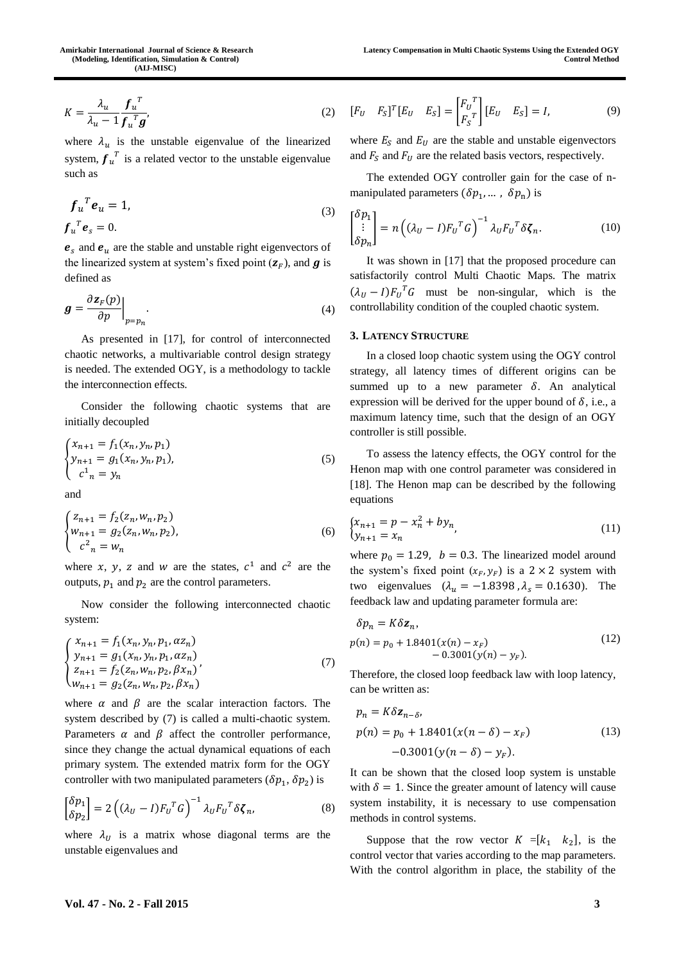$$
K = \frac{\lambda_u}{\lambda_u - 1} \frac{f_u^T}{f_u^T g'}
$$
 (2)

where  $\lambda_u$  is the unstable eigenvalue of the linearized system,  $f_u^T$  is a related vector to the unstable eigenvalue such as

$$
f_u^T e_u = 1,
$$
  
\n
$$
f_u^T e_s = 0.
$$
\n(3)

 $e_s$  and  $e_u$  are the stable and unstable right eigenvectors of the linearized system at system's fixed point  $(\mathbf{z}_F)$ , and  $\boldsymbol{g}$  is defined as

$$
\boldsymbol{g} = \frac{\partial \boldsymbol{z}_F(p)}{\partial p} \bigg|_{p=p_n}.
$$
\n(4)

As presented in [17], for control of interconnected chaotic networks, a multivariable control design strategy is needed. The extended OGY, is a methodology to tackle the interconnection effects.

Consider the following chaotic systems that are initially decoupled

$$
\begin{cases}\n x_{n+1} = f_1(x_n, y_n, p_1) \\
 y_{n+1} = g_1(x_n, y_n, p_1), \\
 c^1_n = y_n\n\end{cases}
$$
\n(5)

and

$$
\begin{cases}\n z_{n+1} = f_2(z_n, w_n, p_2) \\
 w_{n+1} = g_2(z_n, w_n, p_2), \\
 c^2_n = w_n\n\end{cases}
$$
\n(6)

where x, y, z and w are the states,  $c^1$  and  $c^2$  are the outputs,  $p_1$  and  $p_2$  are the control parameters.

Now consider the following interconnected chaotic system:

$$
\begin{cases}\n x_{n+1} = f_1(x_n, y_n, p_1, \alpha z_n) \\
 y_{n+1} = g_1(x_n, y_n, p_1, \alpha z_n) \\
 z_{n+1} = f_2(z_n, w_n, p_2, \beta x_n) \\
 w_{n+1} = g_2(z_n, w_n, p_2, \beta x_n)\n\end{cases} (7)
$$

where  $\alpha$  and  $\beta$  are the scalar interaction factors. The system described by (7) is called a multi-chaotic system. Parameters  $\alpha$  and  $\beta$  affect the controller performance, since they change the actual dynamical equations of each primary system. The extended matrix form for the OGY controller with two manipulated parameters  $(\delta p_1, \delta p_2)$  is

$$
\begin{bmatrix} \delta p_1 \\ \delta p_2 \end{bmatrix} = 2\left( (\lambda_U - I) F_U^T G \right)^{-1} \lambda_U F_U^T \delta \zeta_n, \tag{8}
$$

where  $\lambda_U$  is a matrix whose diagonal terms are the unstable eigenvalues and

$$
[F_U \quad F_S]^T [E_U \quad E_S] = \begin{bmatrix} F_U^T \\ F_S^T \end{bmatrix} [E_U \quad E_S] = I,\tag{9}
$$

where  $E<sub>S</sub>$  and  $E<sub>U</sub>$  are the stable and unstable eigenvectors and  $F_S$  and  $F_U$  are the related basis vectors, respectively.

The extended OGY controller gain for the case of nmanipulated parameters  $(\delta p_1, \dots, \delta p_n)$  is

$$
\begin{bmatrix} \delta p_1 \\ \vdots \\ \delta p_n \end{bmatrix} = n \left( (\lambda_U - I) F_U^T G \right)^{-1} \lambda_U F_U^T \delta \zeta_n.
$$
 (10)

It was shown in [17] that the proposed procedure can satisfactorily control Multi Chaotic Maps. The matrix  $(\lambda_U - I)F_U^T G$  must be non-singular, which is the controllability condition of the coupled chaotic system.

#### **3. LATENCY STRUCTURE**

In a closed loop chaotic system using the OGY control strategy, all latency times of different origins can be summed up to a new parameter  $\delta$ . An analytical expression will be derived for the upper bound of  $\delta$ , i.e., a maximum latency time, such that the design of an OGY controller is still possible.

To assess the latency effects, the OGY control for the Henon map with one control parameter was considered in [18]. The Henon map can be described by the following equations

$$
\begin{cases} x_{n+1} = p - x_n^2 + b y_n \\ y_{n+1} = x_n \end{cases}
$$
 (11)

where  $p_0 = 1.29$ ,  $b = 0.3$ . The linearized model around the system's fixed point  $(x_F, y_F)$  is a 2 × 2 system with two eigenvalues  $(\lambda_u = -1.8398, \lambda_s = 0.1630)$ . The feedback law and updating parameter formula are:

$$
\delta p_n = K \delta z_n,
$$
  
\n
$$
p(n) = p_0 + 1.8401(x(n) - x_F) - 0.3001(y(n) - y_F).
$$
\n(12)

Therefore, the closed loop feedback law with loop latency, can be written as:

$$
p_n = K\delta \mathbf{z}_{n-\delta},
$$
  
\n
$$
p(n) = p_0 + 1.8401(x(n-\delta) - x_F)
$$
  
\n
$$
-0.3001(y(n-\delta) - y_F).
$$
\n(13)

It can be shown that the closed loop system is unstable with  $\delta = 1$ . Since the greater amount of latency will cause system instability, it is necessary to use compensation methods in control systems.

Suppose that the row vector  $K = [k_1 \ k_2]$ , is the control vector that varies according to the map parameters. With the control algorithm in place, the stability of the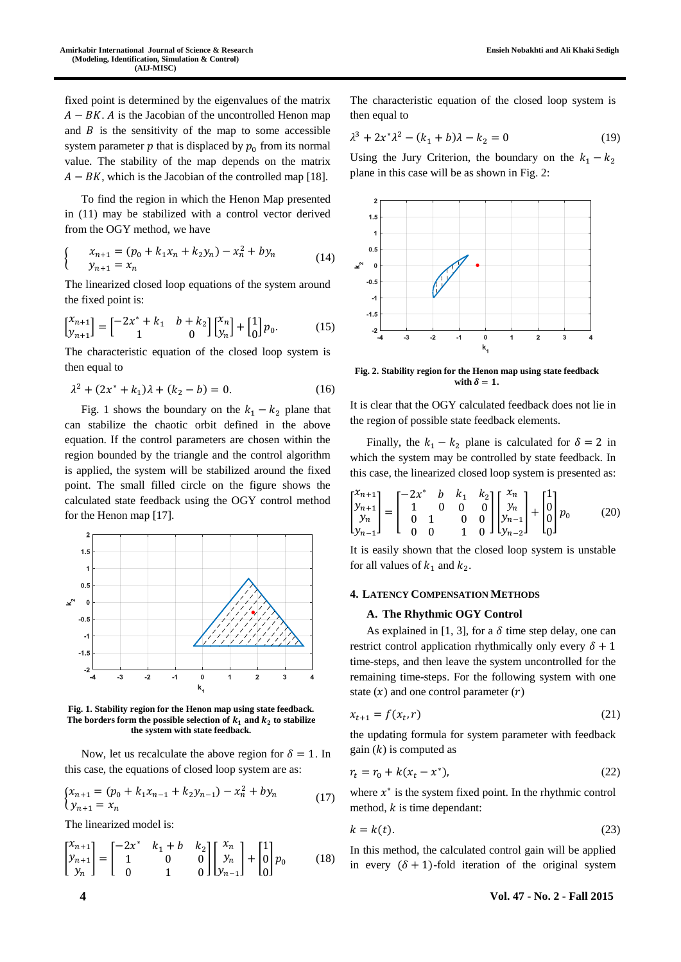fixed point is determined by the eigenvalues of the matrix  $A - BK$ . A is the Jacobian of the uncontrolled Henon map and  $B$  is the sensitivity of the map to some accessible system parameter  $p$  that is displaced by  $p_0$  from its normal value. The stability of the map depends on the matrix  $A - BK$ , which is the Jacobian of the controlled map [18].

To find the region in which the Henon Map presented in (11) may be stabilized with a control vector derived from the OGY method, we have

$$
\begin{cases}\nx_{n+1} = (p_0 + k_1 x_n + k_2 y_n) - x_n^2 + b y_n \\
y_{n+1} = x_n\n\end{cases}
$$
\n(14)

The linearized closed loop equations of the system around the fixed point is:

$$
\begin{bmatrix} \mathbf{x}_{n+1} \\ \mathbf{y}_{n+1} \end{bmatrix} = \begin{bmatrix} -2\mathbf{x}^* + k_1 & b + k_2 \\ 1 & 0 \end{bmatrix} \begin{bmatrix} \mathbf{x}_n \\ \mathbf{y}_n \end{bmatrix} + \begin{bmatrix} 1 \\ 0 \end{bmatrix} p_0. \tag{15}
$$

The characteristic equation of the closed loop system is then equal to

$$
\lambda^2 + (2x^* + k_1)\lambda + (k_2 - b) = 0.
$$
 (16)

Fig. 1 shows the boundary on the  $k_1 - k_2$  plane that can stabilize the chaotic orbit defined in the above equation. If the control parameters are chosen within the region bounded by the triangle and the control algorithm is applied, the system will be stabilized around the fixed point. The small filled circle on the figure shows the calculated state feedback using the OGY control method for the Henon map [17].



**Fig. 1. Stability region for the Henon map using state feedback.**  The borders form the possible selection of  $k_1$  and  $k_2$  to stabilize **the system with state feedback.**

Now, let us recalculate the above region for  $\delta = 1$ . In this case, the equations of closed loop system are as:

$$
\begin{cases} x_{n+1} = (p_0 + k_1 x_{n-1} + k_2 y_{n-1}) - x_n^2 + b y_n \\ y_{n+1} = x_n \end{cases} \tag{17}
$$

The linearized model is:

$$
\begin{bmatrix} x_{n+1} \\ y_{n+1} \\ y_n \end{bmatrix} = \begin{bmatrix} -2x^* & k_1 + b & k_2 \\ 1 & 0 & 0 \\ 0 & 1 & 0 \end{bmatrix} \begin{bmatrix} x_n \\ y_n \\ y_{n-1} \end{bmatrix} + \begin{bmatrix} 1 \\ 0 \\ 0 \end{bmatrix} p_0
$$
 (18)

The characteristic equation of the closed loop system is then equal to

$$
\lambda^3 + 2x^* \lambda^2 - (k_1 + b)\lambda - k_2 = 0 \tag{19}
$$

Using the Jury Criterion, the boundary on the  $k_1 - k_2$ plane in this case will be as shown in Fig. 2:



**Fig. 2. Stability region for the Henon map using state feedback**  with  $\delta = 1$ .

It is clear that the OGY calculated feedback does not lie in the region of possible state feedback elements.

Finally, the  $k_1 - k_2$  plane is calculated for  $\delta = 2$  in which the system may be controlled by state feedback. In this case, the linearized closed loop system is presented as:

$$
\begin{bmatrix} x_{n+1} \\ y_{n+1} \\ y_n \\ y_{n-1} \end{bmatrix} = \begin{bmatrix} -2x^* & b & k_1 & k_2 \\ 1 & 0 & 0 & 0 \\ 0 & 1 & 0 & 0 \\ 0 & 0 & 1 & 0 \end{bmatrix} \begin{bmatrix} x_n \\ y_n \\ y_{n-1} \\ y_{n-2} \end{bmatrix} + \begin{bmatrix} 1 \\ 0 \\ 0 \\ 0 \end{bmatrix} p_0
$$
 (20)

It is easily shown that the closed loop system is unstable for all values of  $k_1$  and  $k_2$ .

### **4. LATENCY COMPENSATION METHODS**

#### **A. The Rhythmic OGY Control**

As explained in [1, 3], for a  $\delta$  time step delay, one can restrict control application rhythmically only every  $\delta + 1$ time-steps, and then leave the system uncontrolled for the remaining time-steps. For the following system with one state  $(x)$  and one control parameter  $(r)$ 

$$
x_{t+1} = f(x_t, r) \tag{21}
$$

the updating formula for system parameter with feedback gain  $(k)$  is computed as

$$
r_t = r_0 + k(x_t - x^*),
$$
 (22)

where  $x^*$  is the system fixed point. In the rhythmic control method,  $k$  is time dependant:

$$
k = k(t). \tag{23}
$$

In this method, the calculated control gain will be applied in every  $(\delta + 1)$ -fold iteration of the original system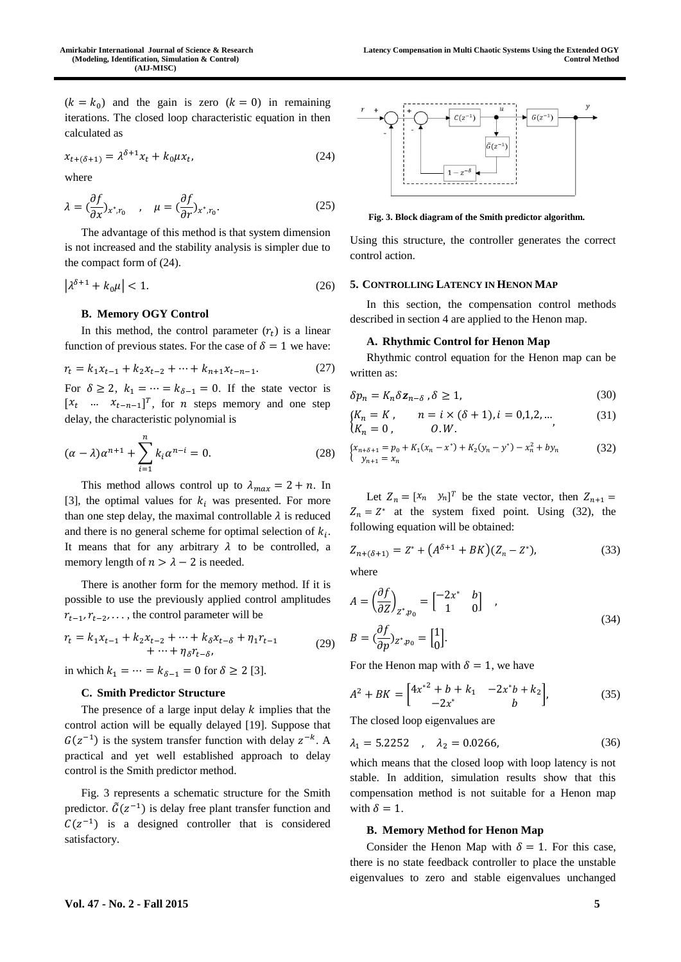$(k = k_0)$  and the gain is zero  $(k = 0)$  in remaining iterations. The closed loop characteristic equation in then calculated as

$$
x_{t+(\delta+1)} = \lambda^{\delta+1} x_t + k_0 \mu x_t, \tag{24}
$$

where

$$
\lambda = \left(\frac{\partial f}{\partial x}\right)_{x^*, r_0}, \quad \mu = \left(\frac{\partial f}{\partial r}\right)_{x^*, r_0}.\tag{25}
$$

The advantage of this method is that system dimension is not increased and the stability analysis is simpler due to the compact form of (24).

$$
\left|\lambda^{\delta+1} + k_0 \mu\right| < 1. \tag{26}
$$

#### **B. Memory OGY Control**

In this method, the control parameter  $(r_t)$  is a linear function of previous states. For the case of  $\delta = 1$  we have:

$$
r_t = k_1 x_{t-1} + k_2 x_{t-2} + \dots + k_{n+1} x_{t-n-1}.
$$
 (27)

For  $\delta \geq 2$ ,  $k_1 = \cdots = k_{\delta-1} = 0$ . If the state vector is  $[x_t \dots x_{t-n-1}]^T$ , for *n* steps memory and one step delay, the characteristic polynomial is

$$
(\alpha - \lambda)\alpha^{n+1} + \sum_{i=1}^{n} k_i \alpha^{n-i} = 0.
$$
 (28)

This method allows control up to  $\lambda_{max} = 2 + n$ . In [3], the optimal values for  $k_i$  was presented. For more than one step delay, the maximal controllable  $\lambda$  is reduced and there is no general scheme for optimal selection of  $k_i$ . It means that for any arbitrary  $\lambda$  to be controlled, a memory length of  $n > \lambda - 2$  is needed.

There is another form for the memory method. If it is possible to use the previously applied control amplitudes  $r_{t-1}, r_{t-2}, \ldots$ , the control parameter will be

$$
r_{t} = k_{1}x_{t-1} + k_{2}x_{t-2} + \dots + k_{\delta}x_{t-\delta} + \eta_{1}r_{t-1} + \dots + \eta_{\delta}r_{t-\delta},
$$
\n(29)

in which  $k_1 = \dots = k_{\delta - 1} = 0$  for  $\delta \ge 2$  [3].

# **C. Smith Predictor Structure**

The presence of a large input delay  $k$  implies that the control action will be equally delayed [19]. Suppose that  $G(z^{-1})$  is the system transfer function with delay  $z^{-k}$ . A practical and yet well established approach to delay control is the Smith predictor method.

Fig. 3 represents a schematic structure for the Smith predictor.  $\tilde{G}(z^{-1})$  is delay free plant transfer function and  $C(z^{-1})$  is a designed controller that is considered satisfactory.



**Fig. 3. Block diagram of the Smith predictor algorithm.**

Using this structure, the controller generates the correct control action.

#### **5. CONTROLLING LATENCY IN HENON MAP**

In this section, the compensation control methods described in section 4 are applied to the Henon map.

### **A. Rhythmic Control for Henon Map**

Rhythmic control equation for the Henon map can be written as:

$$
\delta p_n = K_n \delta \mathbf{z}_{n-\delta} \,, \delta \ge 1,\tag{30}
$$

$$
\begin{aligned}\n\{K_n = K, & n = i \times (\delta + 1), i = 0, 1, 2, \dots, \\
\{K_n = 0, & 0. W.\n\end{aligned}
$$
\n(31)

$$
\begin{cases} x_{n+\delta+1} = p_0 + K_1(x_n - x^*) + K_2(y_n - y^*) - x_n^2 + by_n \\ y_{n+1} = x_n \end{cases} \tag{32}
$$

Let  $Z_n = [x_n \ y_n]^T$  be the state vector, then  $Z_{n+1} =$  $Z_n = Z^*$  at the system fixed point. Using (32), the following equation will be obtained:

$$
Z_{n+(\delta+1)} = Z^* + (A^{\delta+1} + BK)(Z_n - Z^*),
$$
\n(33)

where

$$
A = \left(\frac{\partial f}{\partial Z}\right)_{Z^*, p_0} = \begin{bmatrix} -2x^* & b \\ 1 & 0 \end{bmatrix} ,
$$
  
\n
$$
B = \left(\frac{\partial f}{\partial p}\right)_{Z^*, p_0} = \begin{bmatrix} 1 \\ 0 \end{bmatrix}.
$$
 (34)

For the Henon map with  $\delta = 1$ , we have

$$
A^{2} + BK = \begin{bmatrix} 4x^{*2} + b + k_{1} & -2x^{*}b + k_{2} \\ -2x^{*} & b \end{bmatrix},
$$
 (35)

The closed loop eigenvalues are

$$
\lambda_1 = 5.2252 \quad , \quad \lambda_2 = 0.0266, \tag{36}
$$

which means that the closed loop with loop latency is not stable. In addition, simulation results show that this compensation method is not suitable for a Henon map with  $\delta = 1$ .

#### **B. Memory Method for Henon Map**

Consider the Henon Map with  $\delta = 1$ . For this case, there is no state feedback controller to place the unstable eigenvalues to zero and stable eigenvalues unchanged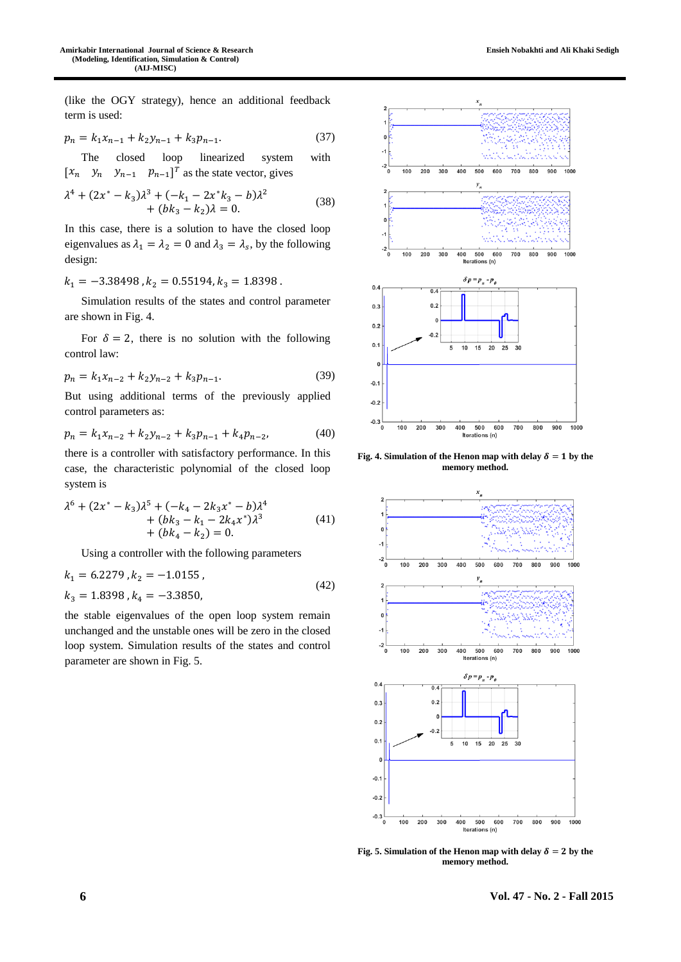(like the OGY strategy), hence an additional feedback term is used:

$$
p_n = k_1 x_{n-1} + k_2 y_{n-1} + k_3 p_{n-1}.
$$
 (37)

The closed loop linearized system with  $[x_n \ y_n \ y_{n-1} \ p_{n-1}]^T$  as the state vector, gives

$$
\lambda^4 + (2x^* - k_3)\lambda^3 + (-k_1 - 2x^*k_3 - b)\lambda^2 + (bk_3 - k_2)\lambda = 0.
$$
 (38)

In this case, there is a solution to have the closed loop eigenvalues as  $\lambda_1 = \lambda_2 = 0$  and  $\lambda_3 = \lambda_s$ , by the following design:

 $k_1 = -3.38498$ ,  $k_2 = 0.55194$ ,  $k_3 = 1.8398$ .

Simulation results of the states and control parameter are shown in Fig. 4.

For  $\delta = 2$ , there is no solution with the following control law:

$$
p_n = k_1 x_{n-2} + k_2 y_{n-2} + k_3 p_{n-1}.
$$
 (39)

But using additional terms of the previously applied control parameters as:

$$
p_n = k_1 x_{n-2} + k_2 y_{n-2} + k_3 p_{n-1} + k_4 p_{n-2},
$$
\n(40)

there is a controller with satisfactory performance. In this case, the characteristic polynomial of the closed loop system is

$$
\lambda^{6} + (2x^{*} - k_{3})\lambda^{5} + (-k_{4} - 2k_{3}x^{*} - b)\lambda^{4}
$$
  
+ 
$$
(bk_{3} - k_{1} - 2k_{4}x^{*})\lambda^{3}
$$
  
+ 
$$
(bk_{4} - k_{2}) = 0.
$$
 (41)

Using a controller with the following parameters

$$
k_1 = 6.2279, k_2 = -1.0155,k_3 = 1.8398, k_4 = -3.3850,
$$
\n(42)

the stable eigenvalues of the open loop system remain unchanged and the unstable ones will be zero in the closed loop system. Simulation results of the states and control parameter are shown in Fig. 5.



**Fig. 4.** Simulation of the Henon map with delay  $\delta = 1$  by the **memory method.**



**Fig. 5.** Simulation of the Henon map with delay  $\delta = 2$  by the **memory method.**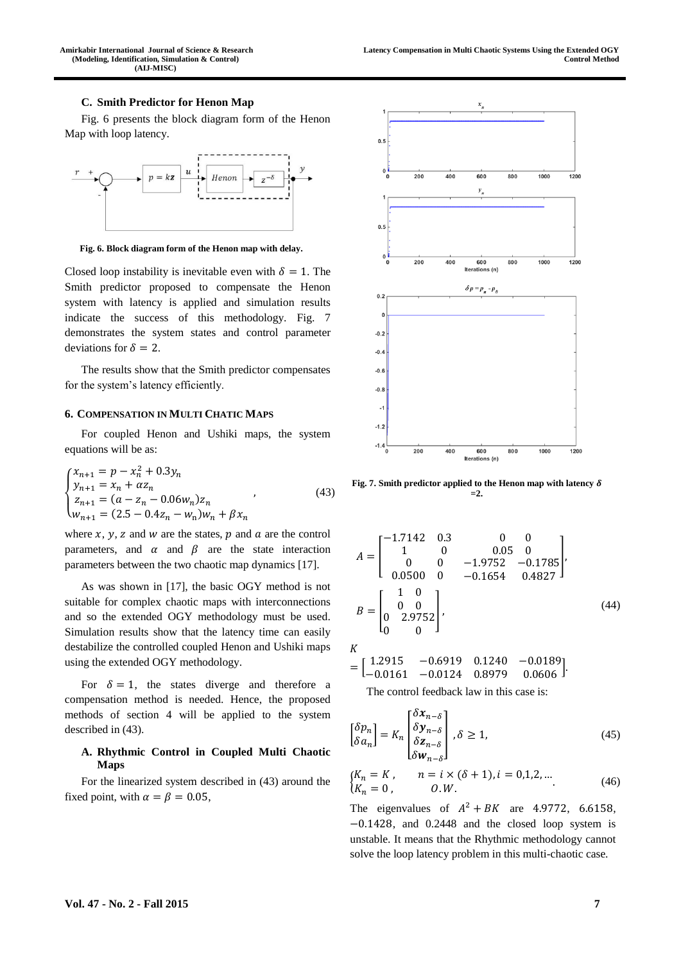#### **C. Smith Predictor for Henon Map**

Fig. 6 presents the block diagram form of the Henon Map with loop latency.



**Fig. 6. Block diagram form of the Henon map with delay.**

Closed loop instability is inevitable even with  $\delta = 1$ . The Smith predictor proposed to compensate the Henon system with latency is applied and simulation results indicate the success of this methodology. Fig. 7 demonstrates the system states and control parameter deviations for  $\delta = 2$ .

The results show that the Smith predictor compensates for the system's latency efficiently.

# **6. COMPENSATION IN MULTI CHATIC MAPS**

For coupled Henon and Ushiki maps, the system equations will be as:

$$
\begin{cases}\n x_{n+1} = p - x_n^2 + 0.3y_n \\
 y_{n+1} = x_n + \alpha z_n \\
 z_{n+1} = (a - z_n - 0.06w_n)z_n \\
 w_{n+1} = (2.5 - 0.4z_n - w_n)w_n + \beta x_n\n\end{cases}
$$
\n(43)

where  $x$ ,  $y$ ,  $z$  and  $w$  are the states,  $p$  and  $a$  are the control parameters, and  $\alpha$  and  $\beta$  are the state interaction parameters between the two chaotic map dynamics [17].

As was shown in [17], the basic OGY method is not suitable for complex chaotic maps with interconnections and so the extended OGY methodology must be used. Simulation results show that the latency time can easily destabilize the controlled coupled Henon and Ushiki maps using the extended OGY methodology.

For  $\delta = 1$ , the states diverge and therefore a compensation method is needed. Hence, the proposed methods of section 4 will be applied to the system described in (43).

# **A. Rhythmic Control in Coupled Multi Chaotic Maps**

For the linearized system described in (43) around the fixed point, with  $\alpha = \beta = 0.05$ ,



**Fig. 7. Smith predictor applied to the Henon map with latency =2.**

$$
A = \begin{bmatrix} -1.7142 & 0.3 & 0 & 0 \\ 1 & 0 & 0.05 & 0 \\ 0 & 0 & -1.9752 & -0.1785 \\ 0.0500 & 0 & -0.1654 & 0.4827 \end{bmatrix},
$$
  
\n
$$
B = \begin{bmatrix} 1 & 0 \\ 0 & 0 \\ 0 & 2.9752 \\ 0 & 0 \end{bmatrix},
$$
 (44)

 $K$ 

$$
= \begin{bmatrix} 1.2915 & -0.6919 & 0.1240 & -0.0189 \\ -0.0161 & -0.0124 & 0.8979 & 0.0606 \end{bmatrix}
$$

The control feedback law in this case is:

$$
\begin{bmatrix} \delta p_n \\ \delta a_n \end{bmatrix} = K_n \begin{bmatrix} \delta x_{n-\delta} \\ \delta y_{n-\delta} \\ \delta z_{n-\delta} \\ \delta w_{n-\delta} \end{bmatrix}, \delta \ge 1,
$$
 (45)

$$
\begin{aligned}\n\{K_n &= K, & n &= i \times (\delta + 1), i &= 0, 1, 2, \dots \\
\{K_n &= 0, & 0. W.\n\end{aligned}\n\tag{46}
$$

The eigenvalues of  $A^2 + BK$  are 4.9772, 6.6158, −0.1428, and 0.2448 and the closed loop system is unstable. It means that the Rhythmic methodology cannot solve the loop latency problem in this multi-chaotic case.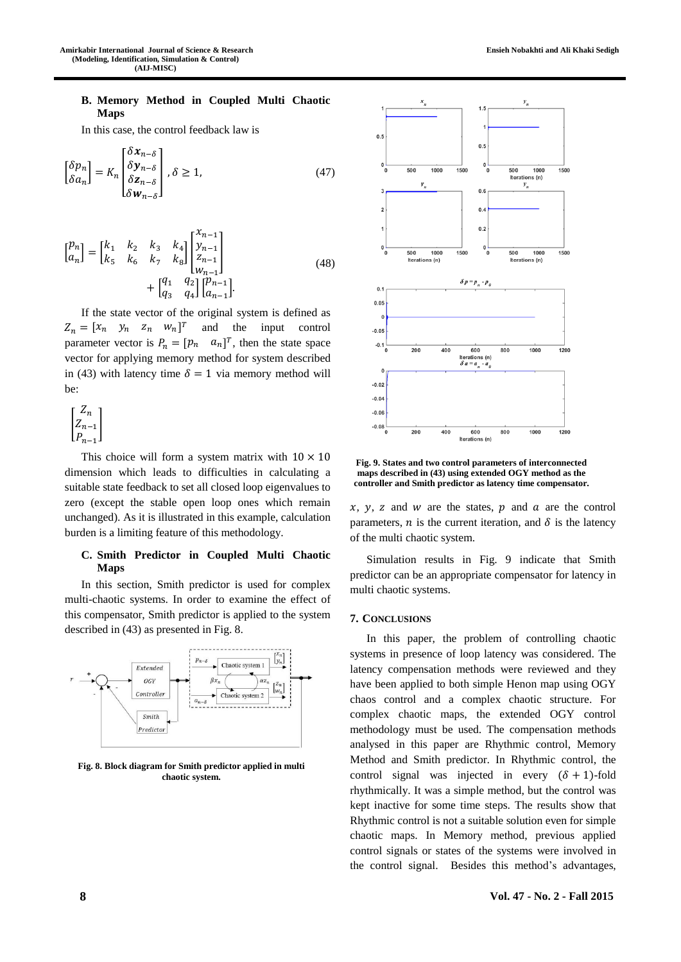# **B. Memory Method in Coupled Multi Chaotic Maps**

In this case, the control feedback law is

$$
\begin{bmatrix} \delta p_n \\ \delta a_n \end{bmatrix} = K_n \begin{bmatrix} \delta x_{n-\delta} \\ \delta y_{n-\delta} \\ \delta z_{n-\delta} \\ \delta w_{n-\delta} \end{bmatrix}, \delta \ge 1,
$$
 (47)

$$
\begin{bmatrix} p_n \\ a_n \end{bmatrix} = \begin{bmatrix} k_1 & k_2 & k_3 & k_4 \\ k_5 & k_6 & k_7 & k_8 \end{bmatrix} \begin{bmatrix} x_{n-1} \\ y_{n-1} \\ z_{n-1} \\ w_{n-1} \end{bmatrix} + \begin{bmatrix} q_1 & q_2 \\ q_3 & q_4 \end{bmatrix} \begin{bmatrix} p_{n-1} \\ a_{n-1} \end{bmatrix}.
$$
 (48)

If the state vector of the original system is defined as  $Z_n = \begin{bmatrix} x_n & y_n & z_n & w_n \end{bmatrix}^T$  and the input control parameter vector is  $P_n = [p_n \quad a_n]^T$ , then the state space vector for applying memory method for system described in (43) with latency time  $\delta = 1$  via memory method will be:

$$
\begin{bmatrix} Z_n \\ Z_{n-1} \\ P_{n-1} \end{bmatrix}
$$

This choice will form a system matrix with  $10 \times 10$ dimension which leads to difficulties in calculating a suitable state feedback to set all closed loop eigenvalues to zero (except the stable open loop ones which remain unchanged). As it is illustrated in this example, calculation burden is a limiting feature of this methodology.

# **C. Smith Predictor in Coupled Multi Chaotic Maps**

In this section, Smith predictor is used for complex multi-chaotic systems. In order to examine the effect of this compensator, Smith predictor is applied to the system described in (43) as presented in Fig. 8.



**Fig. 8. Block diagram for Smith predictor applied in multi chaotic system.**



**Ensieh Nobakhti and Ali Khaki Sedigh**

**Fig. 9. States and two control parameters of interconnected maps described in (43) using extended OGY method as the controller and Smith predictor as latency time compensator.**

 $x, y, z$  and w are the states,  $p$  and  $a$  are the control parameters, *n* is the current iteration, and  $\delta$  is the latency of the multi chaotic system.

Simulation results in Fig. 9 indicate that Smith predictor can be an appropriate compensator for latency in multi chaotic systems.

# **7. CONCLUSIONS**

In this paper, the problem of controlling chaotic systems in presence of loop latency was considered. The latency compensation methods were reviewed and they have been applied to both simple Henon map using OGY chaos control and a complex chaotic structure. For complex chaotic maps, the extended OGY control methodology must be used. The compensation methods analysed in this paper are Rhythmic control, Memory Method and Smith predictor. In Rhythmic control, the control signal was injected in every  $(\delta + 1)$ -fold rhythmically. It was a simple method, but the control was kept inactive for some time steps. The results show that Rhythmic control is not a suitable solution even for simple chaotic maps. In Memory method, previous applied control signals or states of the systems were involved in the control signal. Besides this method's advantages,